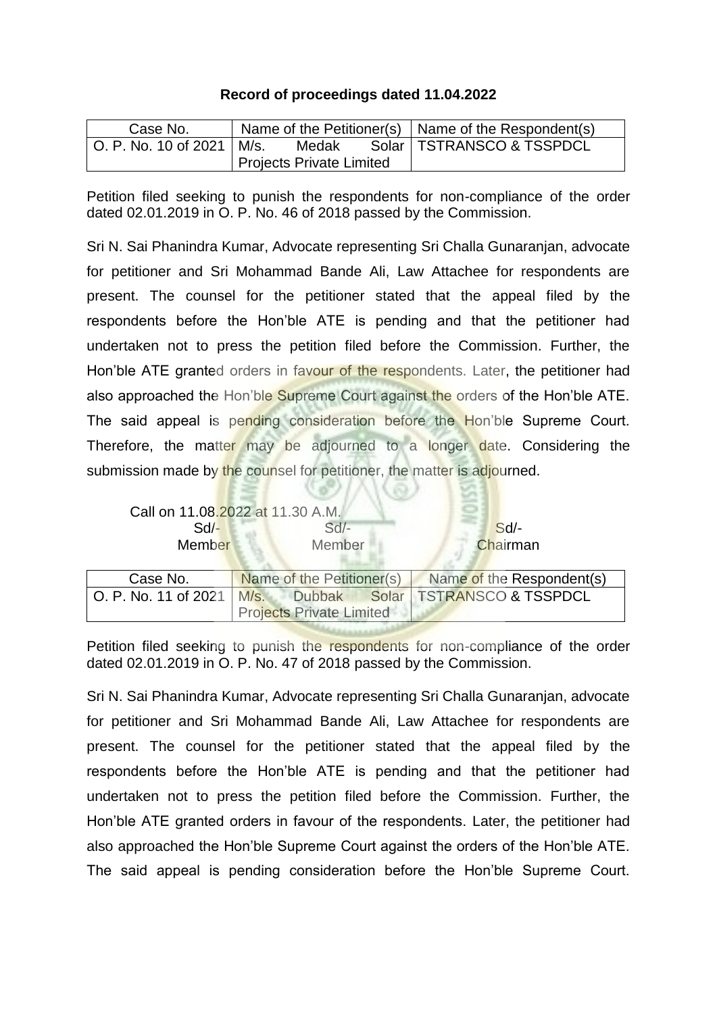## **Record of proceedings dated 11.04.2022**

| Case No.                        |                          |       | Name of the Petitioner(s) $\vert$ Name of the Respondent(s) |
|---------------------------------|--------------------------|-------|-------------------------------------------------------------|
| l O. P. No. 10 of 2021 l M/s. I |                          | Medak | Solar   TSTRANSCO & TSSPDCL                                 |
|                                 | Projects Private Limited |       |                                                             |

Petition filed seeking to punish the respondents for non-compliance of the order dated 02.01.2019 in O. P. No. 46 of 2018 passed by the Commission.

Sri N. Sai Phanindra Kumar, Advocate representing Sri Challa Gunaranjan, advocate for petitioner and Sri Mohammad Bande Ali, Law Attachee for respondents are present. The counsel for the petitioner stated that the appeal filed by the respondents before the Hon'ble ATE is pending and that the petitioner had undertaken not to press the petition filed before the Commission. Further, the Hon'ble ATE granted orders in favour of the respondents. Later, the petitioner had also approached the Hon'ble Supreme Court against the orders of the Hon'ble ATE. The said appeal is pending consideration before the Hon'ble Supreme Court. Therefore, the matter may be adjourned to a longer date. Considering the submission made by the counsel for petitioner, the matter is adjourned.

| $Sd$ -<br>Member     | Call on 11.08.2022 at 11.30 A.M.<br>$Sd$ -<br>Member | Sd<br>Chairman                        |
|----------------------|------------------------------------------------------|---------------------------------------|
|                      |                                                      |                                       |
| Case No.             | Name of the Petitioner(s)                            | Name of the Respondent(s)             |
| O. P. No. 11 of 2021 |                                                      | M/s. Dubbak Solar TSTRANSCO & TSSPDCL |
|                      | <b>Projects Private Limited</b>                      |                                       |

Petition filed seeking to punish the respondents for non-compliance of the order dated 02.01.2019 in O. P. No. 47 of 2018 passed by the Commission.

Sri N. Sai Phanindra Kumar, Advocate representing Sri Challa Gunaranjan, advocate for petitioner and Sri Mohammad Bande Ali, Law Attachee for respondents are present. The counsel for the petitioner stated that the appeal filed by the respondents before the Hon'ble ATE is pending and that the petitioner had undertaken not to press the petition filed before the Commission. Further, the Hon'ble ATE granted orders in favour of the respondents. Later, the petitioner had also approached the Hon'ble Supreme Court against the orders of the Hon'ble ATE. The said appeal is pending consideration before the Hon'ble Supreme Court.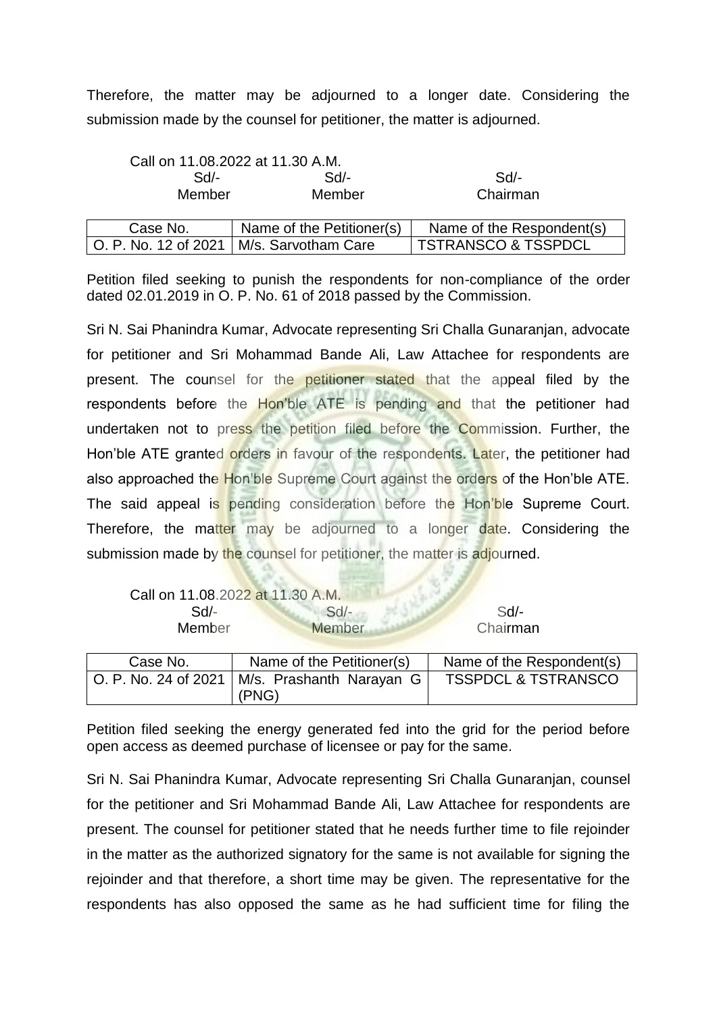Therefore, the matter may be adjourned to a longer date. Considering the submission made by the counsel for petitioner, the matter is adjourned.

|                      | Call on 11.08.2022 at 11.30 A.M. |                                |  |
|----------------------|----------------------------------|--------------------------------|--|
| Sd                   | $Sd$ -                           | Sd/-                           |  |
| Member<br>Member     |                                  | Chairman                       |  |
|                      |                                  |                                |  |
| Case No.             | Name of the Petitioner(s)        | Name of the Respondent(s)      |  |
| O. P. No. 12 of 2021 | M/s. Sarvotham Care              | <b>TSTRANSCO &amp; TSSPDCL</b> |  |

Petition filed seeking to punish the respondents for non-compliance of the order dated 02.01.2019 in O. P. No. 61 of 2018 passed by the Commission.

Sri N. Sai Phanindra Kumar, Advocate representing Sri Challa Gunaranjan, advocate for petitioner and Sri Mohammad Bande Ali, Law Attachee for respondents are present. The counsel for the petitioner stated that the appeal filed by the respondents before the Hon'ble ATE is pending and that the petitioner had undertaken not to press the petition filed before the Commission. Further, the Hon'ble ATE granted orders in favour of the respondents. Later, the petitioner had also approached the Hon'ble Supreme Court against the orders of the Hon'ble ATE. The said appeal is pending consideration before the Hon'ble Supreme Court. Therefore, the matter may be adjourned to a longer date. Considering the submission made by the counsel for petitioner, the matter is adjourned.

| Call on 11.08.2022 at 11.30 A.M. |        |          |
|----------------------------------|--------|----------|
| Sd/-                             | $Sol-$ | $Sd$ -   |
| <b>Member</b>                    | Member | Chairman |

| Case No.                     | Name of the Petitioner(s)         | Name of the Respondent(s)      |
|------------------------------|-----------------------------------|--------------------------------|
| $ $ O. P. No. 24 of 2021 $ $ | M/s. Prashanth Narayan G<br>(PNG) | <b>TSSPDCL &amp; TSTRANSCO</b> |

Petition filed seeking the energy generated fed into the grid for the period before open access as deemed purchase of licensee or pay for the same.

Sri N. Sai Phanindra Kumar, Advocate representing Sri Challa Gunaranjan, counsel for the petitioner and Sri Mohammad Bande Ali, Law Attachee for respondents are present. The counsel for petitioner stated that he needs further time to file rejoinder in the matter as the authorized signatory for the same is not available for signing the rejoinder and that therefore, a short time may be given. The representative for the respondents has also opposed the same as he had sufficient time for filing the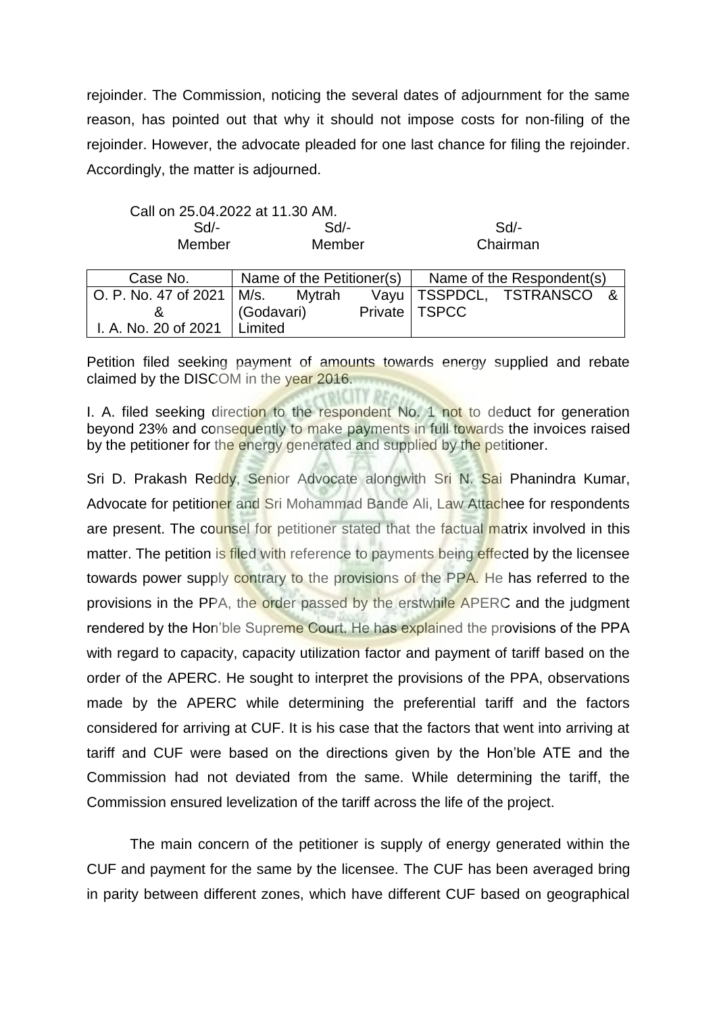rejoinder. The Commission, noticing the several dates of adjournment for the same reason, has pointed out that why it should not impose costs for non-filing of the rejoinder. However, the advocate pleaded for one last chance for filing the rejoinder. Accordingly, the matter is adjourned.

| Call on 25.04.2022 at 11.30 AM. |        |          |
|---------------------------------|--------|----------|
| Sd/-                            | Sd/-   | Sd       |
| Member                          | Member | Chairman |

| Case No.                           | Name of the Petitioner(s) $\vert$ |                 | Name of the Respondent(s)   |  |
|------------------------------------|-----------------------------------|-----------------|-----------------------------|--|
| O. P. No. 47 of 2021   M/s. Mytrah |                                   |                 | Vayu   TSSPDCL, TSTRANSCO & |  |
|                                    | (Godavari)                        | Private   TSPCC |                             |  |
| I. A. No. 20 of 2021               | Limited                           |                 |                             |  |

Petition filed seeking payment of amounts towards energy supplied and rebate claimed by the DISCOM in the year 2016.

I. A. filed seeking direction to the respondent No. 1 not to deduct for generation beyond 23% and consequently to make payments in full towards the invoices raised by the petitioner for the energy generated and supplied by the petitioner.

Sri D. Prakash Reddy, Senior Advocate alongwith Sri N. Sai Phanindra Kumar, Advocate for petitioner and Sri Mohammad Bande Ali, Law Attachee for respondents are present. The counsel for petitioner stated that the factual matrix involved in this matter. The petition is filed with reference to payments being effected by the licensee towards power supply contrary to the provisions of the PPA. He has referred to the provisions in the PPA, the order passed by the erstwhile APERC and the judgment rendered by the Hon'ble Supreme Court. He has explained the provisions of the PPA with regard to capacity, capacity utilization factor and payment of tariff based on the order of the APERC. He sought to interpret the provisions of the PPA, observations made by the APERC while determining the preferential tariff and the factors considered for arriving at CUF. It is his case that the factors that went into arriving at tariff and CUF were based on the directions given by the Hon'ble ATE and the Commission had not deviated from the same. While determining the tariff, the Commission ensured levelization of the tariff across the life of the project.

The main concern of the petitioner is supply of energy generated within the CUF and payment for the same by the licensee. The CUF has been averaged bring in parity between different zones, which have different CUF based on geographical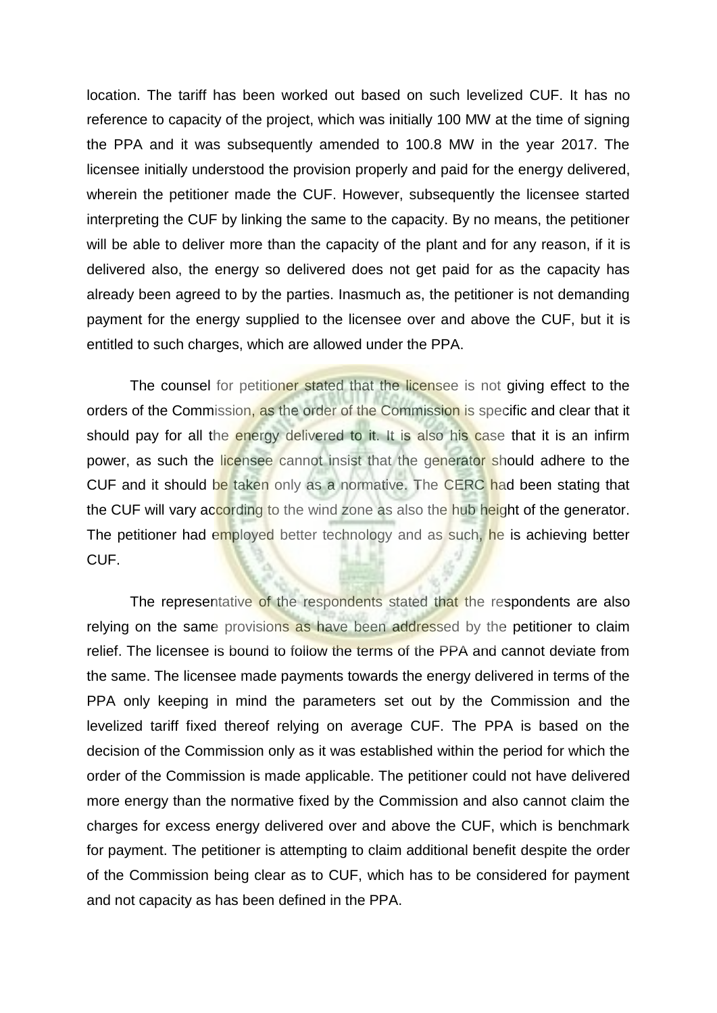location. The tariff has been worked out based on such levelized CUF. It has no reference to capacity of the project, which was initially 100 MW at the time of signing the PPA and it was subsequently amended to 100.8 MW in the year 2017. The licensee initially understood the provision properly and paid for the energy delivered, wherein the petitioner made the CUF. However, subsequently the licensee started interpreting the CUF by linking the same to the capacity. By no means, the petitioner will be able to deliver more than the capacity of the plant and for any reason, if it is delivered also, the energy so delivered does not get paid for as the capacity has already been agreed to by the parties. Inasmuch as, the petitioner is not demanding payment for the energy supplied to the licensee over and above the CUF, but it is entitled to such charges, which are allowed under the PPA.

The counsel for petitioner stated that the licensee is not giving effect to the orders of the Commission, as the order of the Commission is specific and clear that it should pay for all the energy delivered to it. It is also his case that it is an infirm power, as such the licensee cannot insist that the generator should adhere to the CUF and it should be taken only as a normative. The CERC had been stating that the CUF will vary according to the wind zone as also the hub height of the generator. The petitioner had employed better technology and as such, he is achieving better CUF.

The representative of the respondents stated that the respondents are also relying on the same provisions as have been addressed by the petitioner to claim relief. The licensee is bound to follow the terms of the PPA and cannot deviate from the same. The licensee made payments towards the energy delivered in terms of the PPA only keeping in mind the parameters set out by the Commission and the levelized tariff fixed thereof relying on average CUF. The PPA is based on the decision of the Commission only as it was established within the period for which the order of the Commission is made applicable. The petitioner could not have delivered more energy than the normative fixed by the Commission and also cannot claim the charges for excess energy delivered over and above the CUF, which is benchmark for payment. The petitioner is attempting to claim additional benefit despite the order of the Commission being clear as to CUF, which has to be considered for payment and not capacity as has been defined in the PPA.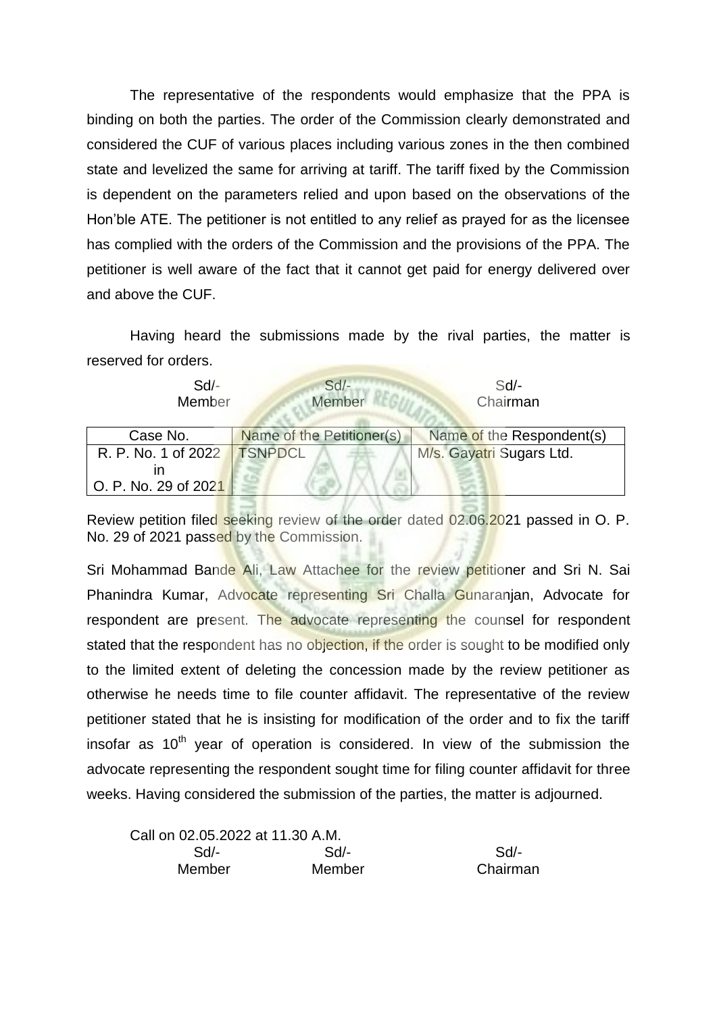The representative of the respondents would emphasize that the PPA is binding on both the parties. The order of the Commission clearly demonstrated and considered the CUF of various places including various zones in the then combined state and levelized the same for arriving at tariff. The tariff fixed by the Commission is dependent on the parameters relied and upon based on the observations of the Hon'ble ATE. The petitioner is not entitled to any relief as prayed for as the licensee has complied with the orders of the Commission and the provisions of the PPA. The petitioner is well aware of the fact that it cannot get paid for energy delivered over and above the CUF.

Having heard the submissions made by the rival parties, the matter is reserved for orders.

| $Sd$ -<br>Member              | $Sd$ -<br>Member          | $Sd$ -<br>Chairman        |  |
|-------------------------------|---------------------------|---------------------------|--|
| Case No.                      | Name of the Petitioner(s) | Name of the Respondent(s) |  |
| R. P. No. 1 of 2022   TSNPDCL |                           | M/s. Gayatri Sugars Ltd.  |  |
| m                             |                           |                           |  |
| O. P. No. 29 of 2021          |                           |                           |  |

Review petition filed seeking review of the order dated 02.06.2021 passed in O. P. No. 29 of 2021 passed by the Commission.

Sri Mohammad Bande Ali, Law Attachee for the review petitioner and Sri N. Sai Phanindra Kumar, Advocate representing Sri Challa Gunaranjan, Advocate for respondent are present. The advocate representing the counsel for respondent stated that the respondent has no objection, if the order is sought to be modified only to the limited extent of deleting the concession made by the review petitioner as otherwise he needs time to file counter affidavit. The representative of the review petitioner stated that he is insisting for modification of the order and to fix the tariff insofar as  $10<sup>th</sup>$  year of operation is considered. In view of the submission the advocate representing the respondent sought time for filing counter affidavit for three weeks. Having considered the submission of the parties, the matter is adjourned.

| Call on 02.05.2022 at 11.30 A.M. |        |          |
|----------------------------------|--------|----------|
| $Sd$ -                           | Sd/-   | -Sd/-    |
| Member                           | Member | Chairman |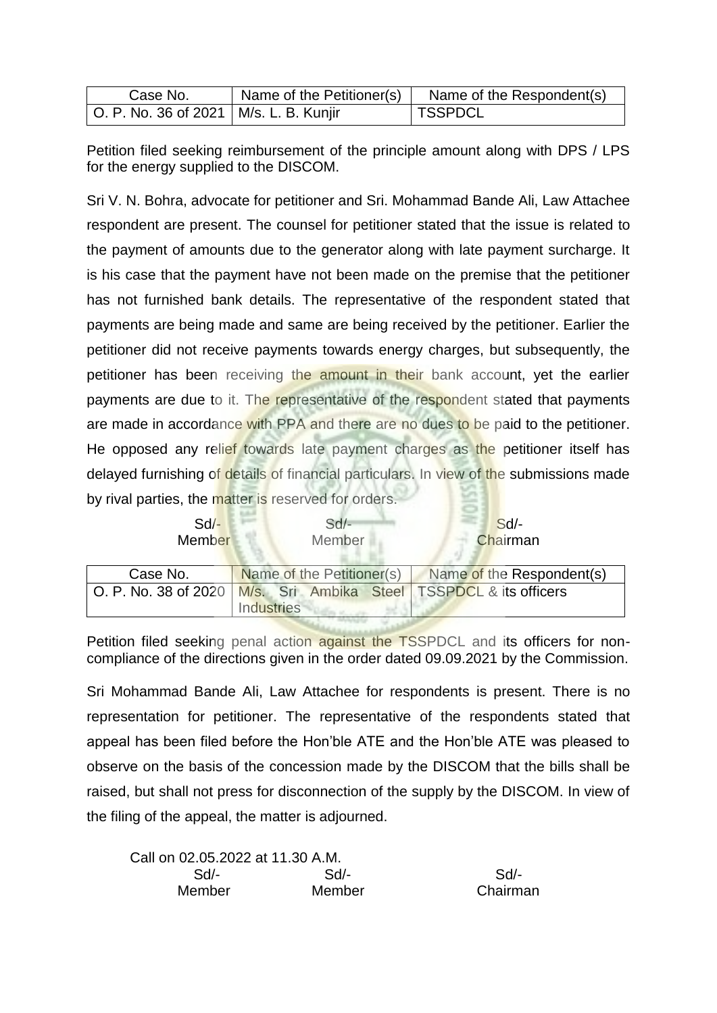| Case No.                                 | Name of the Petitioner(s) | Name of the Respondent(s) |
|------------------------------------------|---------------------------|---------------------------|
| O. P. No. 36 of 2021   M/s. L. B. Kunjir |                           | ∣ TSSPDCL                 |

Petition filed seeking reimbursement of the principle amount along with DPS / LPS for the energy supplied to the DISCOM.

Sri V. N. Bohra, advocate for petitioner and Sri. Mohammad Bande Ali, Law Attachee respondent are present. The counsel for petitioner stated that the issue is related to the payment of amounts due to the generator along with late payment surcharge. It is his case that the payment have not been made on the premise that the petitioner has not furnished bank details. The representative of the respondent stated that payments are being made and same are being received by the petitioner. Earlier the petitioner did not receive payments towards energy charges, but subsequently, the petitioner has been receiving the amount in their bank account, yet the earlier payments are due to it. The representative of the respondent stated that payments are made in accordance with PPA and there are no dues to be paid to the petitioner. He opposed any relief towards late payment charges as the petitioner itself has delayed furnishing of details of financial particulars. In view of the submissions made by rival parties, the matter is reserved for orders.

| $Sd$ -<br>Member     | $Sd$ -<br>Member                                                  | Sd<br>Chairman            |
|----------------------|-------------------------------------------------------------------|---------------------------|
| Case No.             | Name of the Petitioner(s)                                         | Name of the Respondent(s) |
| O. P. No. 38 of 2020 | M/s. Sri Ambika Steel TSSPDCL & its officers<br><b>Industries</b> |                           |

Petition filed seeking penal action against the TSSPDCL and its officers for noncompliance of the directions given in the order dated 09.09.2021 by the Commission.

Sri Mohammad Bande Ali, Law Attachee for respondents is present. There is no representation for petitioner. The representative of the respondents stated that appeal has been filed before the Hon'ble ATE and the Hon'ble ATE was pleased to observe on the basis of the concession made by the DISCOM that the bills shall be raised, but shall not press for disconnection of the supply by the DISCOM. In view of the filing of the appeal, the matter is adjourned.

| Call on 02.05.2022 at 11.30 A.M. |        |          |
|----------------------------------|--------|----------|
| Sd/-                             | Sd     | Sd       |
| <b>Member</b>                    | Member | Chairman |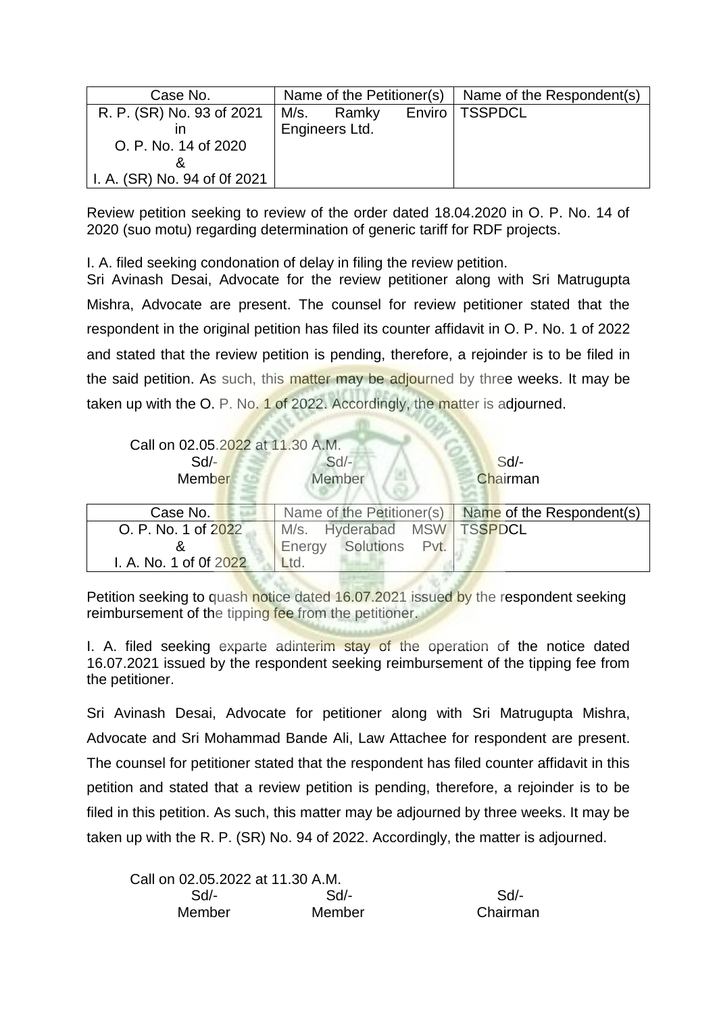| Case No.                     | Name of the Petitioner(s) |            | Name of the Respondent(s) |
|------------------------------|---------------------------|------------|---------------------------|
| R. P. (SR) No. 93 of 2021    |                           | M/s. Ramky | Enviro   TSSPDCL          |
|                              | Engineers Ltd.            |            |                           |
| O. P. No. 14 of 2020         |                           |            |                           |
|                              |                           |            |                           |
| I. A. (SR) No. 94 of 0f 2021 |                           |            |                           |

Review petition seeking to review of the order dated 18.04.2020 in O. P. No. 14 of 2020 (suo motu) regarding determination of generic tariff for RDF projects.

I. A. filed seeking condonation of delay in filing the review petition.

Sri Avinash Desai, Advocate for the review petitioner along with Sri Matrugupta Mishra, Advocate are present. The counsel for review petitioner stated that the respondent in the original petition has filed its counter affidavit in O. P. No. 1 of 2022 and stated that the review petition is pending, therefore, a rejoinder is to be filed in the said petition. As such, this matter may be adjourned by three weeks. It may be taken up with the O. P. No. 1 of 2022. Accordingly, the matter is adjourned.

| Call on 02.05.2022 at 11.30 A.M.<br>$Sd$ -<br>Member | $Sd$ -<br>Member          | Sd<br>Chairman            |
|------------------------------------------------------|---------------------------|---------------------------|
| Case No.                                             | Name of the Petitioner(s) | Name of the Respondent(s) |
| O. P. No. 1 of 2022                                  | M/s. Hyderabad MSW        | <b>TSSPDCL</b>            |
|                                                      | Solutions Pvt.<br>Energy  |                           |
| I. A. No. 1 of 0f 2022                               | Ltd.                      |                           |

Petition seeking to quash notice dated 16.07.2021 issued by the respondent seeking reimbursement of the tipping fee from the petitioner.

I. A. filed seeking exparte adinterim stay of the operation of the notice dated 16.07.2021 issued by the respondent seeking reimbursement of the tipping fee from the petitioner.

Sri Avinash Desai, Advocate for petitioner along with Sri Matrugupta Mishra, Advocate and Sri Mohammad Bande Ali, Law Attachee for respondent are present. The counsel for petitioner stated that the respondent has filed counter affidavit in this petition and stated that a review petition is pending, therefore, a rejoinder is to be filed in this petition. As such, this matter may be adjourned by three weeks. It may be taken up with the R. P. (SR) No. 94 of 2022. Accordingly, the matter is adjourned.

| Call on 02.05.2022 at 11.30 A.M. |        |          |
|----------------------------------|--------|----------|
| $Sd$ -                           | Sd     | Sd       |
| Member                           | Member | Chairman |